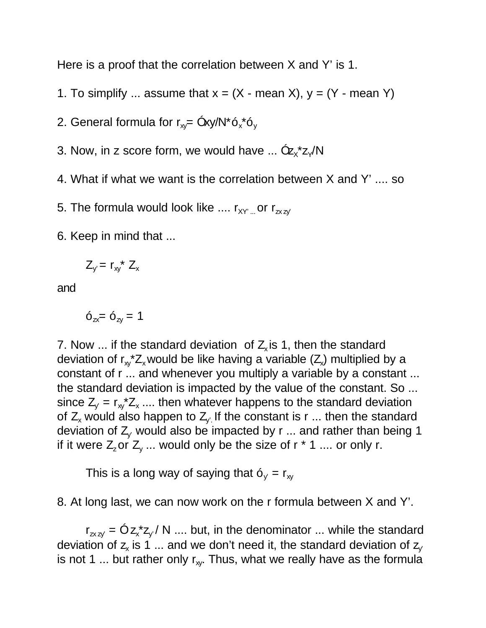Here is a proof that the correlation between X and Y' is 1.

- 1. To simplify ... assume that  $x = (X \text{mean } X)$ ,  $y = (Y \text{mean } Y)$
- 2. General formula for r $_{\mathrm{xy}}$ = Óxy/N\*ó $_{\mathrm{x}}$ \*ó $_{\mathrm{y}}$
- 3. Now, in z score form, we would have ...  $\mathbf{Q}_{\mathsf{X}}^* \mathsf{Z}_{\mathsf{Y}} / \mathsf{N}$
- 4. What if what we want is the correlation between X and Y' .... so

5. The formula would look like ....  $r_{XY}$  or  $r_{\text{zzy}}$ 

6. Keep in mind that ...

$$
Z_{y'} = r_{xy}^* Z_x
$$

and

 $6_{7x} = 6_{7x} = 1$ 

7. Now ... if the standard deviation of  $Z_{x}$  is 1, then the standard deviation of  $r_{xy}$ \*Z<sub>x</sub> would be like having a variable (Z<sub>x</sub>) multiplied by a constant of r ... and whenever you multiply a variable by a constant ... the standard deviation is impacted by the value of the constant. So ... since  $Z_{y}$  =  $r_{xy}Z_{x}$  .... then whatever happens to the standard deviation of Z<sub>x</sub> would also happen to Z<sub>y.</sub> If the constant is r ... then the standard deviation of  $Z_v$  would also be impacted by r ... and rather than being 1 if it were  $Z_z$ or  $Z_y$  ... would only be the size of r  $*$  1 .... or only r.

This is a long way of saying that  $6_v = r_w$ 

8. At long last, we can now work on the r formula between X and Y'.

 $r_{\mathsf{z}\mathsf{x}\mathsf{z}\mathsf{y}} = \mathsf{O}\mathsf{z}\mathsf{x}^* \mathsf{z}\mathsf{y}$  / N .... but, in the denominator ... while the standard deviation of  $z_x$  is 1 ... and we don't need it, the standard deviation of  $z_y$ is not 1 ... but rather only  $r_{xy}$ . Thus, what we really have as the formula